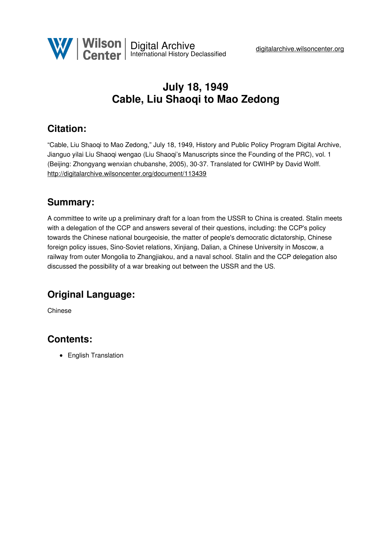

# **July 18, 1949 Cable, Liu Shaoqi to Mao Zedong**

## **Citation:**

"Cable, Liu Shaoqi to Mao Zedong," July 18, 1949, History and Public Policy Program Digital Archive, Jianguo yilai Liu Shaoqi wengao (Liu Shaoqi's Manuscripts since the Founding of the PRC), vol. 1 (Beijing: Zhongyang wenxian chubanshe, 2005), 30-37. Translated for CWIHP by David Wolff. <http://digitalarchive.wilsoncenter.org/document/113439>

### **Summary:**

A committee to write up a preliminary draft for a loan from the USSR to China is created. Stalin meets with a delegation of the CCP and answers several of their questions, including: the CCP's policy towards the Chinese national bourgeoisie, the matter of people's democratic dictatorship, Chinese foreign policy issues, Sino-Soviet relations, Xinjiang, Dalian, a Chinese University in Moscow, a railway from outer Mongolia to Zhangjiakou, and a naval school. Stalin and the CCP delegation also discussed the possibility of a war breaking out between the USSR and the US.

## **Original Language:**

Chinese

### **Contents:**

• English Translation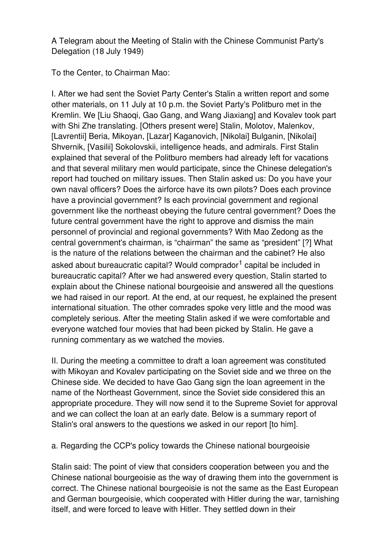A Telegram about the Meeting of Stalin with the Chinese Communist Party's Delegation (18 July 1949)

To the Center, to Chairman Mao:

I. After we had sent the Soviet Party Center's Stalin a written report and some other materials, on 11 July at 10 p.m. the Soviet Party's Politburo met in the Kremlin. We [Liu Shaoqi, Gao Gang, and Wang Jiaxiang] and Kovalev took part with Shi Zhe translating. [Others present were] Stalin, Molotov, Malenkov, [Lavrentii] Beria, Mikoyan, [Lazar] Kaganovich, [Nikolai] Bulganin, [Nikolai] Shvernik, [Vasilii] Sokolovskii, intelligence heads, and admirals. First Stalin explained that several of the Politburo members had already left for vacations and that several military men would participate, since the Chinese delegation's report had touched on military issues. Then Stalin asked us: Do you have your own naval officers? Does the airforce have its own pilots? Does each province have a provincial government? Is each provincial government and regional government like the northeast obeying the future central government? Does the future central government have the right to approve and dismiss the main personnel of provincial and regional governments? With Mao Zedong as the central government's chairman, is "chairman" the same as "president" [?] What is the nature of the relations between the chairman and the cabinet? He also asked about bureaucratic capital? Would comprador<sup>1</sup> capital be included in bureaucratic capital? After we had answered every question, Stalin started to explain about the Chinese national bourgeoisie and answered all the questions we had raised in our report. At the end, at our request, he explained the present international situation. The other comrades spoke very little and the mood was completely serious. After the meeting Stalin asked if we were comfortable and everyone watched four movies that had been picked by Stalin. He gave a running commentary as we watched the movies.

II. During the meeting a committee to draft a loan agreement was constituted with Mikoyan and Kovalev participating on the Soviet side and we three on the Chinese side. We decided to have Gao Gang sign the loan agreement in the name of the Northeast Government, since the Soviet side considered this an appropriate procedure. They will now send it to the Supreme Soviet for approval and we can collect the loan at an early date. Below is a summary report of Stalin's oral answers to the questions we asked in our report [to him].

a. Regarding the CCP's policy towards the Chinese national bourgeoisie

Stalin said: The point of view that considers cooperation between you and the Chinese national bourgeoisie as the way of drawing them into the government is correct. The Chinese national bourgeoisie is not the same as the East European and German bourgeoisie, which cooperated with Hitler during the war, tarnishing itself, and were forced to leave with Hitler. They settled down in their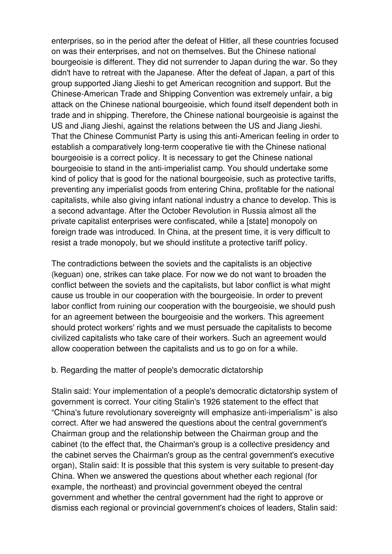enterprises, so in the period after the defeat of Hitler, all these countries focused on was their enterprises, and not on themselves. But the Chinese national bourgeoisie is different. They did not surrender to Japan during the war. So they didn't have to retreat with the Japanese. After the defeat of Japan, a part of this group supported Jiang Jieshi to get American recognition and support. But the Chinese-American Trade and Shipping Convention was extremely unfair, a big attack on the Chinese national bourgeoisie, which found itself dependent both in trade and in shipping. Therefore, the Chinese national bourgeoisie is against the US and Jiang Jieshi, against the relations between the US and Jiang Jieshi. That the Chinese Communist Party is using this anti-American feeling in order to establish a comparatively long-term cooperative tie with the Chinese national bourgeoisie is a correct policy. It is necessary to get the Chinese national bourgeoisie to stand in the anti-imperialist camp. You should undertake some kind of policy that is good for the national bourgeoisie, such as protective tariffs, preventing any imperialist goods from entering China, profitable for the national capitalists, while also giving infant national industry a chance to develop. This is a second advantage. After the October Revolution in Russia almost all the private capitalist enterprises were confiscated, while a [state] monopoly on foreign trade was introduced. In China, at the present time, it is very difficult to resist a trade monopoly, but we should institute a protective tariff policy.

The contradictions between the soviets and the capitalists is an objective (keguan) one, strikes can take place. For now we do not want to broaden the conflict between the soviets and the capitalists, but labor conflict is what might cause us trouble in our cooperation with the bourgeoisie. In order to prevent labor conflict from ruining our cooperation with the bourgeoisie, we should push for an agreement between the bourgeoisie and the workers. This agreement should protect workers' rights and we must persuade the capitalists to become civilized capitalists who take care of their workers. Such an agreement would allow cooperation between the capitalists and us to go on for a while.

#### b. Regarding the matter of people's democratic dictatorship

Stalin said: Your implementation of a people's democratic dictatorship system of government is correct. Your citing Stalin's 1926 statement to the effect that "China's future revolutionary sovereignty will emphasize anti-imperialism" is also correct. After we had answered the questions about the central government's Chairman group and the relationship between the Chairman group and the cabinet (to the effect that, the Chairman's group is a collective presidency and the cabinet serves the Chairman's group as the central government's executive organ), Stalin said: It is possible that this system is very suitable to present-day China. When we answered the questions about whether each regional (for example, the northeast) and provincial government obeyed the central government and whether the central government had the right to approve or dismiss each regional or provincial government's choices of leaders, Stalin said: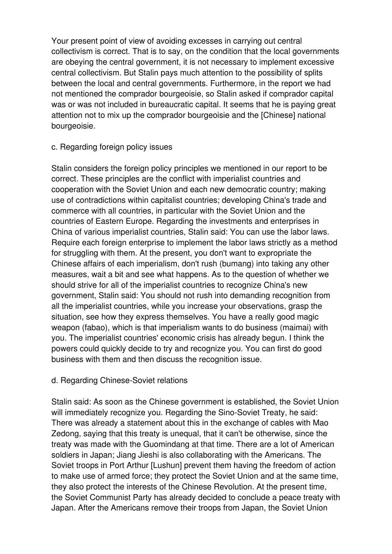Your present point of view of avoiding excesses in carrying out central collectivism is correct. That is to say, on the condition that the local governments are obeying the central government, it is not necessary to implement excessive central collectivism. But Stalin pays much attention to the possibility of splits between the local and central governments. Furthermore, in the report we had not mentioned the comprador bourgeoisie, so Stalin asked if comprador capital was or was not included in bureaucratic capital. It seems that he is paying great attention not to mix up the comprador bourgeoisie and the [Chinese] national bourgeoisie.

### c. Regarding foreign policy issues

Stalin considers the foreign policy principles we mentioned in our report to be correct. These principles are the conflict with imperialist countries and cooperation with the Soviet Union and each new democratic country; making use of contradictions within capitalist countries; developing China's trade and commerce with all countries, in particular with the Soviet Union and the countries of Eastern Europe. Regarding the investments and enterprises in China of various imperialist countries, Stalin said: You can use the labor laws. Require each foreign enterprise to implement the labor laws strictly as a method for struggling with them. At the present, you don't want to expropriate the Chinese affairs of each imperialism, don't rush (bumang) into taking any other measures, wait a bit and see what happens. As to the question of whether we should strive for all of the imperialist countries to recognize China's new government, Stalin said: You should not rush into demanding recognition from all the imperialist countries, while you increase your observations, grasp the situation, see how they express themselves. You have a really good magic weapon (fabao), which is that imperialism wants to do business (maimai) with you. The imperialist countries' economic crisis has already begun. I think the powers could quickly decide to try and recognize you. You can first do good business with them and then discuss the recognition issue.

### d. Regarding Chinese-Soviet relations

Stalin said: As soon as the Chinese government is established, the Soviet Union will immediately recognize you. Regarding the Sino-Soviet Treaty, he said: There was already a statement about this in the exchange of cables with Mao Zedong, saying that this treaty is unequal, that it can't be otherwise, since the treaty was made with the Guomindang at that time. There are a lot of American soldiers in Japan; Jiang Jieshi is also collaborating with the Americans. The Soviet troops in Port Arthur [Lushun] prevent them having the freedom of action to make use of armed force; they protect the Soviet Union and at the same time, they also protect the interests of the Chinese Revolution. At the present time, the Soviet Communist Party has already decided to conclude a peace treaty with Japan. After the Americans remove their troops from Japan, the Soviet Union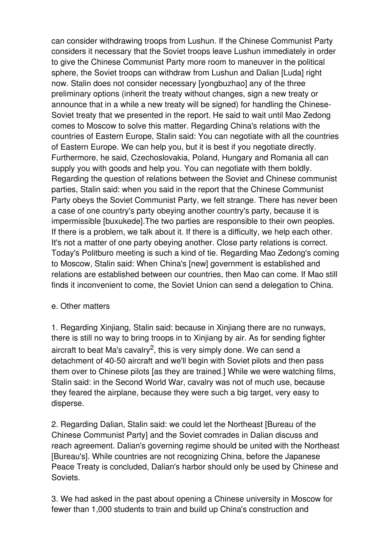can consider withdrawing troops from Lushun. If the Chinese Communist Party considers it necessary that the Soviet troops leave Lushun immediately in order to give the Chinese Communist Party more room to maneuver in the political sphere, the Soviet troops can withdraw from Lushun and Dalian [Luda] right now. Stalin does not consider necessary [yongbuzhao] any of the three preliminary options (inherit the treaty without changes, sign a new treaty or announce that in a while a new treaty will be signed) for handling the Chinese-Soviet treaty that we presented in the report. He said to wait until Mao Zedong comes to Moscow to solve this matter. Regarding China's relations with the countries of Eastern Europe, Stalin said: You can negotiate with all the countries of Eastern Europe. We can help you, but it is best if you negotiate directly. Furthermore, he said, Czechoslovakia, Poland, Hungary and Romania all can supply you with goods and help you. You can negotiate with them boldly. Regarding the question of relations between the Soviet and Chinese communist parties, Stalin said: when you said in the report that the Chinese Communist Party obeys the Soviet Communist Party, we felt strange. There has never been a case of one country's party obeying another country's party, because it is impermissible [buxukede].The two parties are responsible to their own peoples. If there is a problem, we talk about it. If there is a difficulty, we help each other. It's not a matter of one party obeying another. Close party relations is correct. Today's Politburo meeting is such a kind of tie. Regarding Mao Zedong's coming to Moscow, Stalin said: When China's [new] government is established and relations are established between our countries, then Mao can come. If Mao still finds it inconvenient to come, the Soviet Union can send a delegation to China.

### e. Other matters

1. Regarding Xinjiang, Stalin said: because in Xinjiang there are no runways, there is still no way to bring troops in to Xinjiang by air. As for sending fighter aircraft to beat Ma's cavalry<sup>2</sup>, this is very simply done. We can send a detachment of 40-50 aircraft and we'll begin with Soviet pilots and then pass them over to Chinese pilots [as they are trained.] While we were watching films, Stalin said: in the Second World War, cavalry was not of much use, because they feared the airplane, because they were such a big target, very easy to disperse.

2. Regarding Dalian, Stalin said: we could let the Northeast [Bureau of the Chinese Communist Party] and the Soviet comrades in Dalian discuss and reach agreement. Dalian's governing regime should be united with the Northeast [Bureau's]. While countries are not recognizing China, before the Japanese Peace Treaty is concluded, Dalian's harbor should only be used by Chinese and Soviets.

3. We had asked in the past about opening a Chinese university in Moscow for fewer than 1,000 students to train and build up China's construction and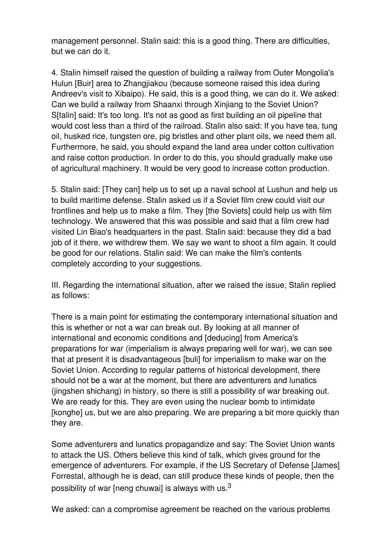management personnel. Stalin said: this is a good thing. There are difficulties, but we can do it.

4. Stalin himself raised the question of building a railway from Outer Mongolia's Hulun [Buir] area to Zhangjiakou (because someone raised this idea during Andreev's visit to Xibaipo). He said, this is a good thing, we can do it. We asked: Can we build a railway from Shaanxi through Xinjiang to the Soviet Union? S[talin] said: It's too long. It's not as good as first building an oil pipeline that would cost less than a third of the railroad. Stalin also said: If you have tea, tung oil, husked rice, tungsten ore, pig bristles and other plant oils, we need them all. Furthermore, he said, you should expand the land area under cotton cultivation and raise cotton production. In order to do this, you should gradually make use of agricultural machinery. It would be very good to increase cotton production.

5. Stalin said: [They can] help us to set up a naval school at Lushun and help us to build maritime defense. Stalin asked us if a Soviet film crew could visit our frontlines and help us to make a film. They [the Soviets] could help us with film technology. We answered that this was possible and said that a film crew had visited Lin Biao's headquarters in the past. Stalin said: because they did a bad job of it there, we withdrew them. We say we want to shoot a film again. It could be good for our relations. Stalin said: We can make the film's contents completely according to your suggestions.

III. Regarding the international situation, after we raised the issue, Stalin replied as follows:

There is a main point for estimating the contemporary international situation and this is whether or not a war can break out. By looking at all manner of international and economic conditions and [deducing] from America's preparations for war (imperialism is always preparing well for war), we can see that at present it is disadvantageous [buli] for imperialism to make war on the Soviet Union. According to regular patterns of historical development, there should not be a war at the moment, but there are adventurers and lunatics (jingshen shichang) in history, so there is still a possibility of war breaking out. We are ready for this. They are even using the nuclear bomb to intimidate [konghe] us, but we are also preparing. We are preparing a bit more quickly than they are.

Some adventurers and lunatics propagandize and say: The Soviet Union wants to attack the US. Others believe this kind of talk, which gives ground for the emergence of adventurers. For example, if the US Secretary of Defense [James] Forrestal, although he is dead, can still produce these kinds of people, then the possibility of war [neng chuwai] is always with us. $^3$ 

We asked: can a compromise agreement be reached on the various problems